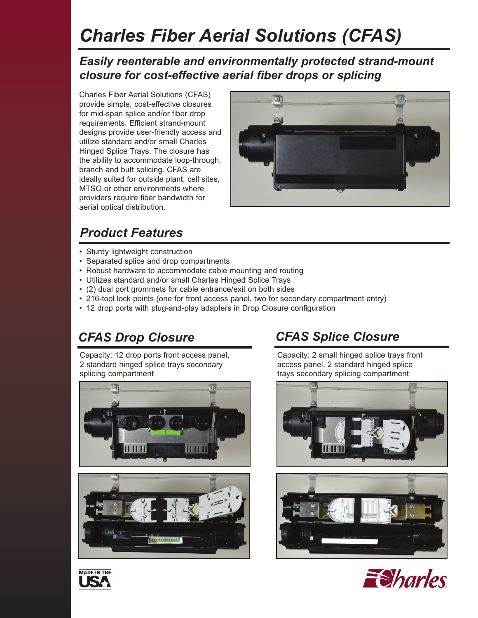# *Charles Fiber Aerial Solutions (CFAS)*

### *Easily reenterable and environmentally protected strand-mount closure for cost-effective aerial fiber drops or splicing*

Charles Fiber Aerial Solutions (CFAS) provide simple, cost-effective closures for mid-span splice and/or fiber drop requirements. Efficient strand-mount designs provide user-friendly access and utilize standard and/or small Charles Hinged Splice Trays. The closure has the ability to accommodate loop-through, branch and butt splicing. CFAS are ideally suited for outside plant, cell sites, MTSO or other environments where providers require fiber bandwidth for aerial optical distribution.



## *Product Features*

- Sturdy lightweight construction
- Separated splice and drop compartments
- Robust hardware to accommodate cable mounting and routing
- Utilizes standard and/or small Charles Hinged Splice Trays
- (2) dual port grommets for cable entrance/exit on both sides
- 216-tool lock points (one for front access panel, two for secondary compartment entry)
- 12 drop ports with plug-and-play adapters in Drop Closure configuration

Capacity: 12 drop ports front access panel, 2 standard hinged splice trays secondary splicing compartment





## *CFAS Drop Closure CFAS Splice Closure*

Capacity: 2 small hinged splice trays front access panel, 2 standard hinged splice trays secondary splicing compartment







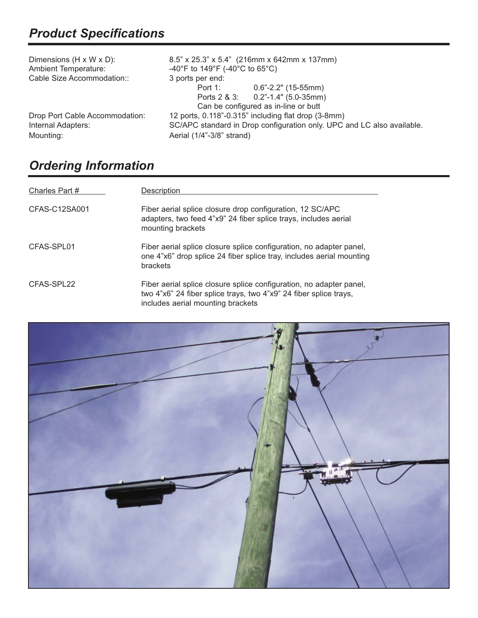| Dimensions (H x W x D):<br><b>Ambient Temperature:</b><br>Cable Size Accommodation:: | $8.5$ " x 25.3" x 5.4" (216mm x 642mm x 137mm)<br>-40°F to 149°F (-40°C to 65°C)<br>3 ports per end: |                                                             |  |
|--------------------------------------------------------------------------------------|------------------------------------------------------------------------------------------------------|-------------------------------------------------------------|--|
|                                                                                      | Port 1:                                                                                              | $0.6$ "-2.2" (15-55mm)<br>Ports 2 & 3: 0.2"-1.4" (5.0-35mm) |  |
|                                                                                      | Can be configured as in-line or butt                                                                 |                                                             |  |
| Drop Port Cable Accommodation:                                                       | 12 ports, 0.118"-0.315" including flat drop (3-8mm)                                                  |                                                             |  |
| Internal Adapters:                                                                   | SC/APC standard in Drop configuration only. UPC and LC also available.                               |                                                             |  |
| Mounting:                                                                            | Aerial (1/4"-3/8" strand)                                                                            |                                                             |  |

## *Ordering Information*

| Charles Part # | Description                                                                                                                                                                   |
|----------------|-------------------------------------------------------------------------------------------------------------------------------------------------------------------------------|
| CFAS-C12SA001  | Fiber aerial splice closure drop configuration, 12 SC/APC<br>adapters, two feed 4"x9" 24 fiber splice trays, includes aerial<br>mounting brackets                             |
| CFAS-SPL01     | Fiber aerial splice closure splice configuration, no adapter panel,<br>one 4"x6" drop splice 24 fiber splice tray, includes aerial mounting<br>brackets                       |
| CFAS-SPL22     | Fiber aerial splice closure splice configuration, no adapter panel,<br>two 4"x6" 24 fiber splice trays, two 4"x9" 24 fiber splice trays,<br>includes aerial mounting brackets |